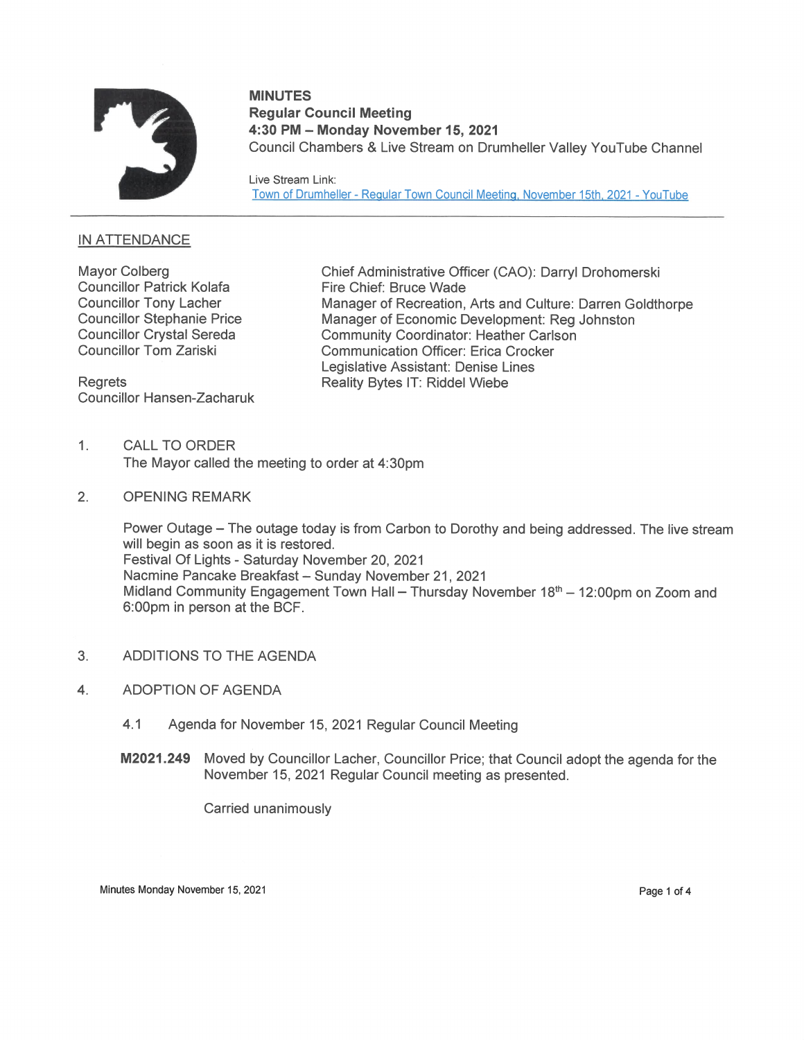

# MINUTES Regular Council Meeting 4:30 PM — Monday November 15, 2021 Council Chambers & Live Stream on Drumheller Valley YouTube Channel

Live Stream Link: Town of Drumheller - Regular Town Council Meeting, November 15th, 2021 - YouTube

## IN ATTENDANCE

Councillor Patrick Kolafa Fire Chief: Bruce Wade

Councillor Hansen-Zacharuk

Mayor Colberg **Chief Administrative Officer (CAO): Darryl Drohomerski** Councillor Tony Lacher Manager of Recreation, Arts and Culture: Darren Goldthorpe<br>Councillor Stephanie Price Manager of Economic Development: Rea Johnston Councillor Stephanie Price Manager of Economic Development: Reg Johnston<br>Councillor Crystal Sereda Community Coordinator: Heather Carlson Community Coordinator: Heather Carlson Councillor Tom Zariski Communication Officer: Erica Crocker Legislative Assistant: Denise Lines Regrets Reality Bytes IT: Riddel Wiebe

- 1. CALLTO ORDER The Mayor called the meeting to order at 4:30pm
- 2. OPENING REMARK

Power Outage — The outage today is from Carbon to Dorothy and being addressed. The live stream will begin as soon as it is restored. Festival Of Lights - Saturday November 20, 2021 Nacmine Pancake Breakfast - Sunday November 21, 2021 Midland Community Engagement Town Hall – Thursday November  $18<sup>th</sup> - 12:00<sub>pm</sub>$  on Zoom and 6:00pm in person at the BCF.

- 3. ADDITIONS TO THE AGENDA
- 4. ADOPTION OF AGENDA
	- 4.1 Agenda for November 15, 2021 Regular Council Meeting
	- M2021.249 Moved by Councillor Lacher, Councillor Price; that Council adopt the agenda for the November 15, 2021 Regular Council meeting as presented.

Carried unanimously

Minutes Monday November 15, 2021 **Page 1 of 4** and 2001 **Page 1 of 4** and 2011 **Page 1 of 4**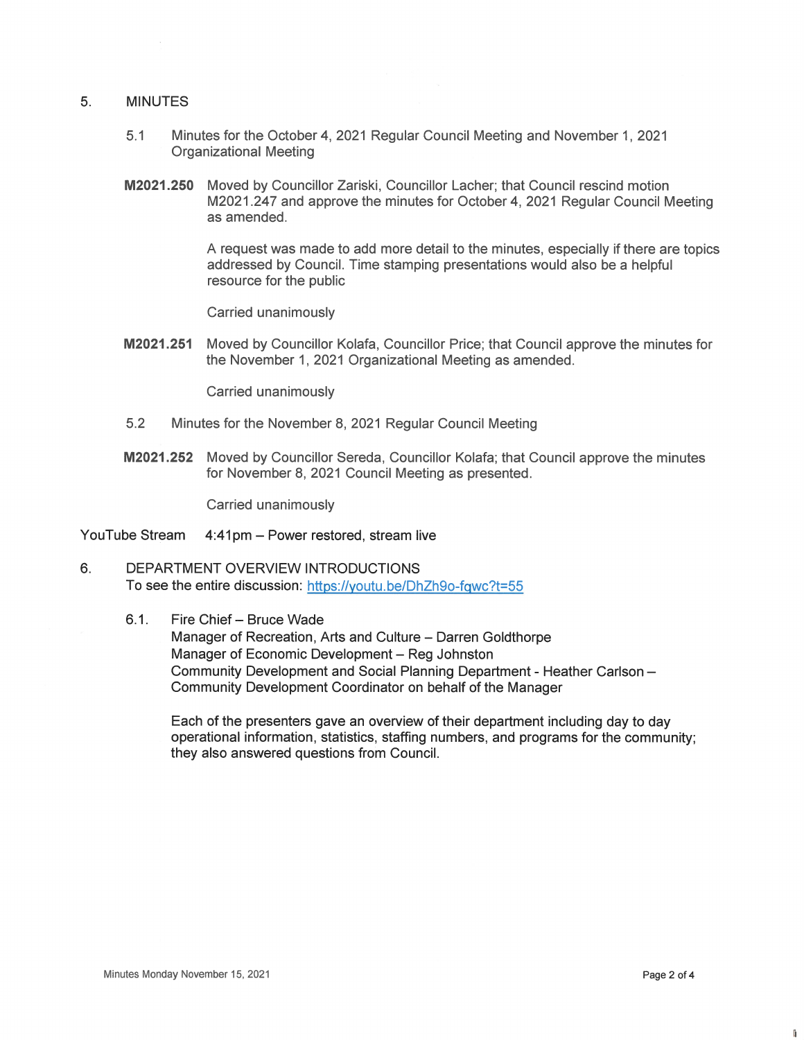#### 5. MINUTES

- 5.1 Minutes for the October 4, 2021 Regular Council Meeting and November 1, 2021 Organizational Meeting
- M2021.25O Moved by Councillor Zariski, Councillor Lacher; that Council rescind motion M2021.247 and approve the minutes for October 4, 2021 Regular Council Meeting as amended.

A request was made to add more detail to the minutes, especially ifthere are topics addressed by Council. Time stamping presentations would also be a helpful resource for the public

Carried unanimously

M2021.251 Moved by Councillor Kolafa, Councillor Price; that Council approve the minutes for the November 1, 2021 Organizational Meeting as amended.

Carried unanimously

- 5.2 Minutes for the November 8, 2021 Regular Council Meeting
- M2021.252 Moved by Councillor Sereda, Councillor Kolafa; that Council approve the minutes for November 8, 2021 Council Meeting as presented.

Carried unanimously

- YouTube Stream 4:41pm Power restored, stream live
- 6. DEPARTMENT OVERVIEW INTRODUCTIONS To see the entire discussion: https://youtu.be/DhZh9o-fqwc?t=55
	- 6.1. Fire Chief Bruce Wade

Manager of Recreation, Arts and Culture — Darren Goldthorpe Manager of Economic Development — Reg Johnston Community Development and Social Planning Department - Heather Carlson Community Development Coordinator on behalf of the Manager

Each of the presenters gave an overview of their department including day to day operational information, statistics, staffing numbers, and programs for the community; they also answered questions from Council.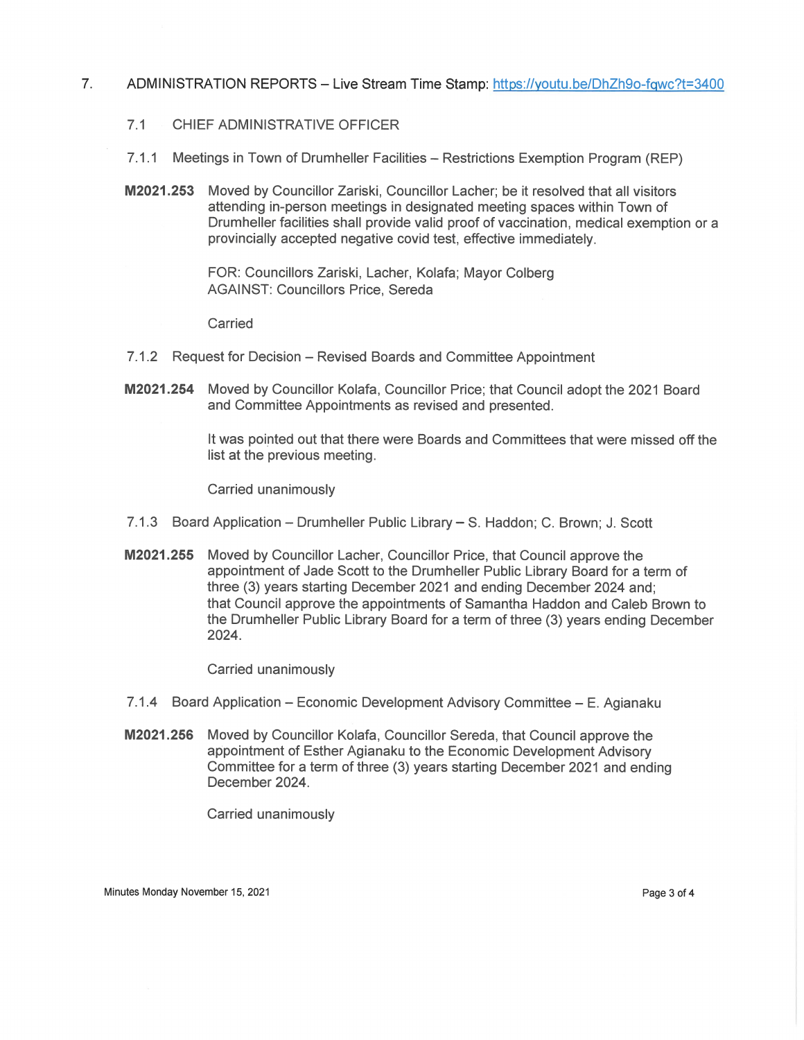## 7. ADMINISTRATION REPORTS – Live Stream Time Stamp: https://youtu.be/DhZh9o-fqwc?t=3400

- 7.1 CHIEF ADMINISTRATIVE OFFICER
- 7.1.1 Meetings in Town of Drumheller Facilities Restrictions Exemption Program (REP)
- M2021.253 Moved by Councillor Zariski, Councillor Lacher; be it resolved that all visitors attending in-person meetings in designated meeting spaces within Town of Drumheller facilities shall provide valid proof of vaccination, medical exemption or a provincially accepted negative covid test, effective immediately

FOR: Councillors Zariski, Lacher, Kolafa; Mayor Colberg AGAINST: Councillors Price, Sereda

Carried

- 7.1.2 Request for Decision Revised Boards and Committee Appointment
- M2021.254 Moved by Councillor Kolafa, Councillor Price; that Council adopt the 2021 Board and Committee Appointments as revised and presented.

Itwas pointed out that there were Boards and Committees that were missed off the list at the previous meeting.

Carried unanimously

- 7.1.3 Board Application Drumheller Public Library S. Haddon; C. Brown; J. Scott
- M2021.255 Moved by Councillor Lacher, Councillor Price, that Council approve the appointment of Jade Scott to the Drumheller Public Library Board for a term of three (3) years starting December 2021 and ending December 2024 and; that Council approve the appointments of Samantha Haddon and Caleb Brown to the Drumheller Public Library Board for a term of three (3) years ending December 2024.

Carried unanimously

- 7.1.4 Board Application Economic Development Advisory Committee E. Agianaku
- M2021.256 Moved by Councillor Kolafa, Councillor Sereda, that Council approve the appointment of Esther Agianaku to the Economic Development Advisory Committee for a term of three (3) years starting December 2021 and ending December 2024.

Carried unanimously

Minutes Monday November 15, 2021 Page 3 of 4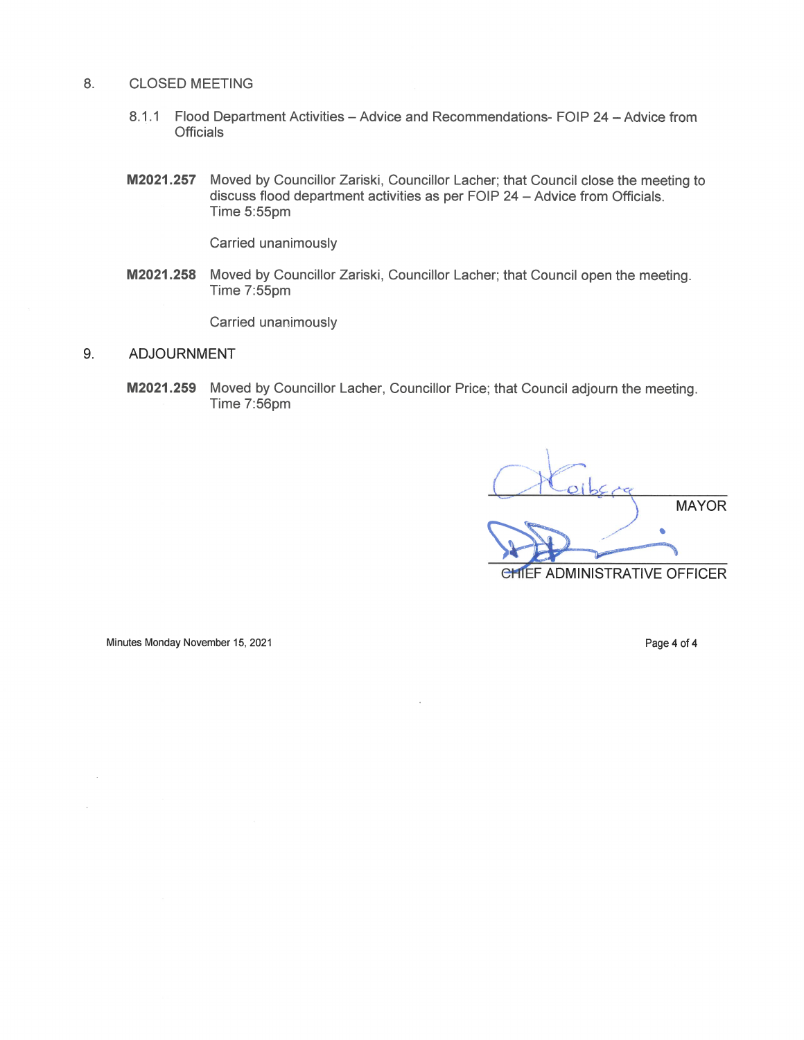#### 8. CLOSED MEETING

- 8.1.1 Flood Department Activities Advice and Recommendations- FOIP 24 Advice from **Officials**
- M2021.257 Moved by Councillor Zariski, Councillor Lacher; that Council close the meeting to discuss flood department activities as per FOIP 24 - Advice from Officials. Time 5:55pm

Carried unanimously

M2021.258 Moved by Councillor Zariski, Councillor Lacher; that Council open the meeting. Time 7:55pm

Carried unanimously

## 9. ADJOURNMENT

M2021.259 Moved by Councillor Lacher, Councillor Price; that Council adjourn the meeting. Time 7:56pm

MAYOR  $\bullet$ CHIEF ADMINISTRATIVE OFFICER

Minutes Monday November 15, 2021 and the control of the control of the Page 4 of 4